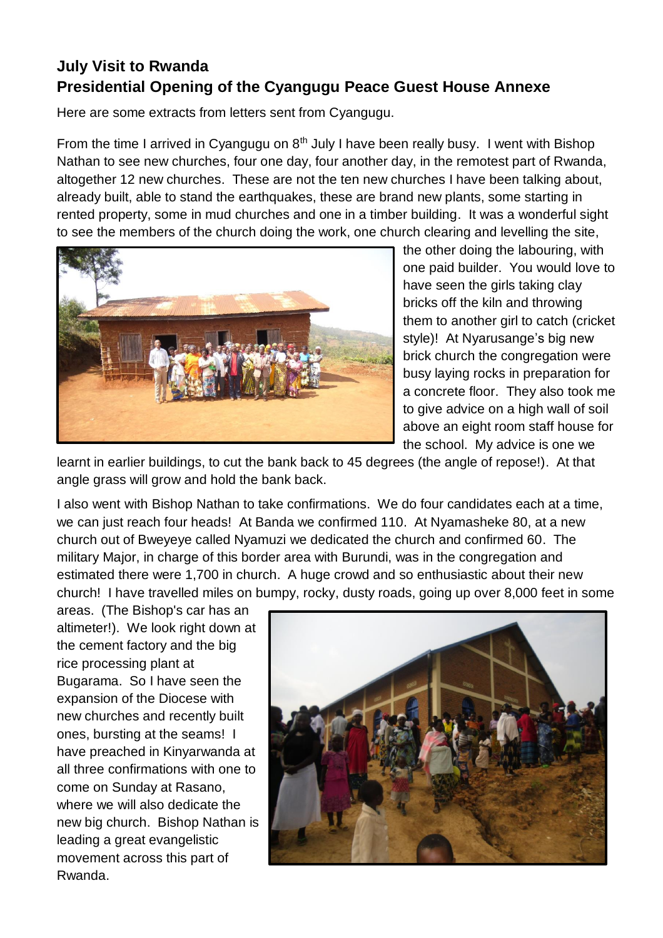## **July Visit to Rwanda Presidential Opening of the Cyangugu Peace Guest House Annexe**

Here are some extracts from letters sent from Cyangugu.

From the time I arrived in Cyangugu on  $8<sup>th</sup>$  July I have been really busy. I went with Bishop Nathan to see new churches, four one day, four another day, in the remotest part of Rwanda, altogether 12 new churches. These are not the ten new churches I have been talking about, already built, able to stand the earthquakes, these are brand new plants, some starting in rented property, some in mud churches and one in a timber building. It was a wonderful sight to see the members of the church doing the work, one church clearing and levelling the site,



the other doing the labouring, with one paid builder. You would love to have seen the girls taking clay bricks off the kiln and throwing them to another girl to catch (cricket style)! At Nyarusange's big new brick church the congregation were busy laying rocks in preparation for a concrete floor. They also took me to give advice on a high wall of soil above an eight room staff house for the school. My advice is one we

learnt in earlier buildings, to cut the bank back to 45 degrees (the angle of repose!). At that angle grass will grow and hold the bank back.

I also went with Bishop Nathan to take confirmations. We do four candidates each at a time, we can just reach four heads! At Banda we confirmed 110. At Nyamasheke 80, at a new church out of Bweyeye called Nyamuzi we dedicated the church and confirmed 60. The military Major, in charge of this border area with Burundi, was in the congregation and estimated there were 1,700 in church. A huge crowd and so enthusiastic about their new church! I have travelled miles on bumpy, rocky, dusty roads, going up over 8,000 feet in some

areas. (The Bishop's car has an altimeter!). We look right down at the cement factory and the big rice processing plant at Bugarama. So I have seen the expansion of the Diocese with new churches and recently built ones, bursting at the seams! I have preached in Kinyarwanda at all three confirmations with one to come on Sunday at Rasano, where we will also dedicate the new big church. Bishop Nathan is leading a great evangelistic movement across this part of Rwanda.

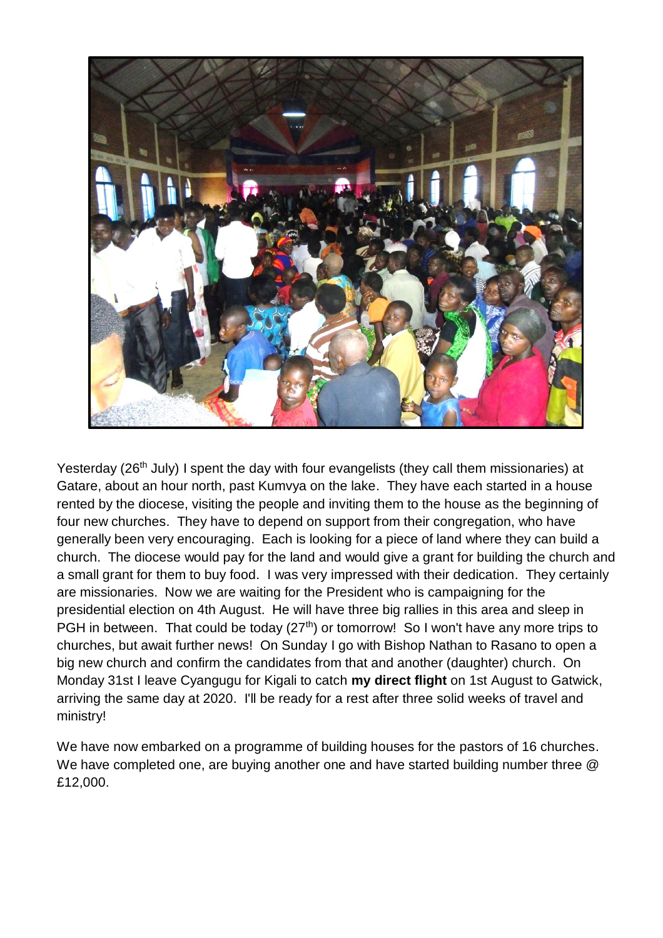

Yesterday (26<sup>th</sup> July) I spent the day with four evangelists (they call them missionaries) at Gatare, about an hour north, past Kumvya on the lake. They have each started in a house rented by the diocese, visiting the people and inviting them to the house as the beginning of four new churches. They have to depend on support from their congregation, who have generally been very encouraging. Each is looking for a piece of land where they can build a church. The diocese would pay for the land and would give a grant for building the church and a small grant for them to buy food. I was very impressed with their dedication. They certainly are missionaries. Now we are waiting for the President who is campaigning for the presidential election on 4th August. He will have three big rallies in this area and sleep in PGH in between. That could be today  $(27<sup>th</sup>)$  or tomorrow! So I won't have any more trips to churches, but await further news! On Sunday I go with Bishop Nathan to Rasano to open a big new church and confirm the candidates from that and another (daughter) church. On Monday 31st I leave Cyangugu for Kigali to catch **my direct flight** on 1st August to Gatwick, arriving the same day at 2020. I'll be ready for a rest after three solid weeks of travel and ministry!

We have now embarked on a programme of building houses for the pastors of 16 churches. We have completed one, are buying another one and have started building number three @ £12,000.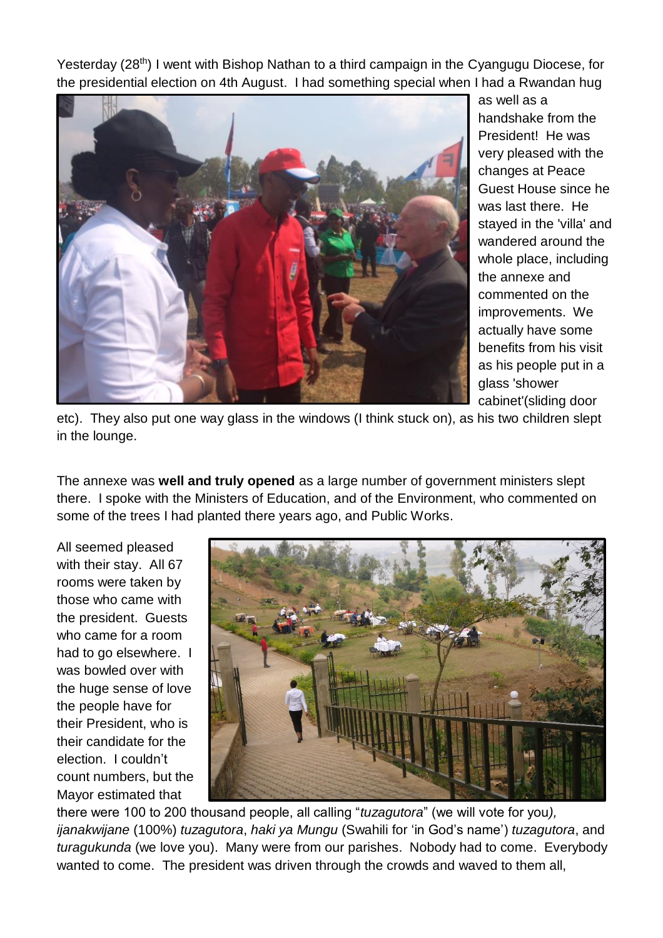Yesterday (28<sup>th</sup>) I went with Bishop Nathan to a third campaign in the Cyangugu Diocese, for the presidential election on 4th August. I had something special when I had a Rwandan hug



as well as a handshake from the President! He was very pleased with the changes at Peace Guest House since he was last there. He stayed in the 'villa' and wandered around the whole place, including the annexe and commented on the improvements. We actually have some benefits from his visit as his people put in a glass 'shower cabinet'(sliding door

etc). They also put one way glass in the windows (I think stuck on), as his two children slept in the lounge.

The annexe was **well and truly opened** as a large number of government ministers slept there. I spoke with the Ministers of Education, and of the Environment, who commented on some of the trees I had planted there years ago, and Public Works.

All seemed pleased with their stay. All 67 rooms were taken by those who came with the president. Guests who came for a room had to go elsewhere. I was bowled over with the huge sense of love the people have for their President, who is their candidate for the election. I couldn't count numbers, but the Mayor estimated that



there were 100 to 200 thousand people, all calling "*tuzagutora*" (we will vote for you*), ijanakwijane* (100%) *tuzagutora*, *haki ya Mungu* (Swahili for 'in God's name') *tuzagutora*, and *turagukunda* (we love you). Many were from our parishes. Nobody had to come. Everybody wanted to come. The president was driven through the crowds and waved to them all,